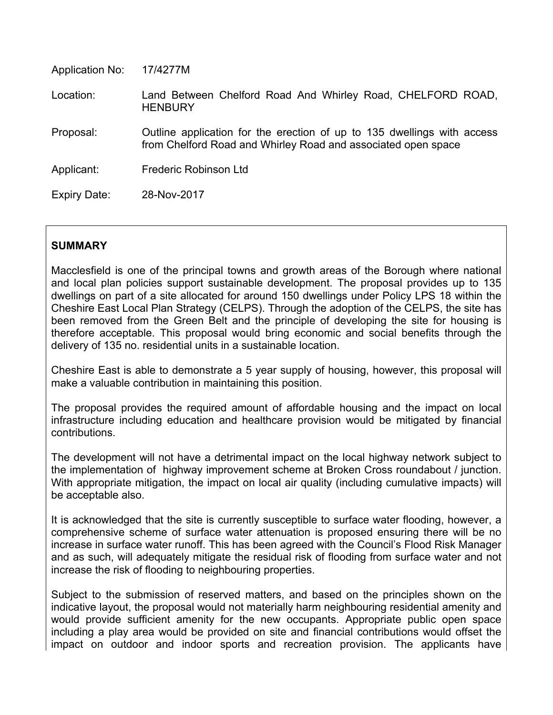| Application No: | 17/4277M                                                                                                                                 |
|-----------------|------------------------------------------------------------------------------------------------------------------------------------------|
| Location:       | Land Between Chelford Road And Whirley Road, CHELFORD ROAD,<br><b>HENBURY</b>                                                            |
| Proposal:       | Outline application for the erection of up to 135 dwellings with access<br>from Chelford Road and Whirley Road and associated open space |
| Applicant:      | Frederic Robinson Ltd                                                                                                                    |
| Expiry Date:    | 28-Nov-2017                                                                                                                              |

# **SUMMARY**

Macclesfield is one of the principal towns and growth areas of the Borough where national and local plan policies support sustainable development. The proposal provides up to 135 dwellings on part of a site allocated for around 150 dwellings under Policy LPS 18 within the Cheshire East Local Plan Strategy (CELPS). Through the adoption of the CELPS, the site has been removed from the Green Belt and the principle of developing the site for housing is therefore acceptable. This proposal would bring economic and social benefits through the delivery of 135 no. residential units in a sustainable location.

Cheshire East is able to demonstrate a 5 year supply of housing, however, this proposal will make a valuable contribution in maintaining this position.

The proposal provides the required amount of affordable housing and the impact on local infrastructure including education and healthcare provision would be mitigated by financial contributions.

The development will not have a detrimental impact on the local highway network subject to the implementation of highway improvement scheme at Broken Cross roundabout / junction. With appropriate mitigation, the impact on local air quality (including cumulative impacts) will be acceptable also.

It is acknowledged that the site is currently susceptible to surface water flooding, however, a comprehensive scheme of surface water attenuation is proposed ensuring there will be no increase in surface water runoff. This has been agreed with the Council's Flood Risk Manager and as such, will adequately mitigate the residual risk of flooding from surface water and not increase the risk of flooding to neighbouring properties.

Subject to the submission of reserved matters, and based on the principles shown on the indicative layout, the proposal would not materially harm neighbouring residential amenity and would provide sufficient amenity for the new occupants. Appropriate public open space including a play area would be provided on site and financial contributions would offset the impact on outdoor and indoor sports and recreation provision. The applicants have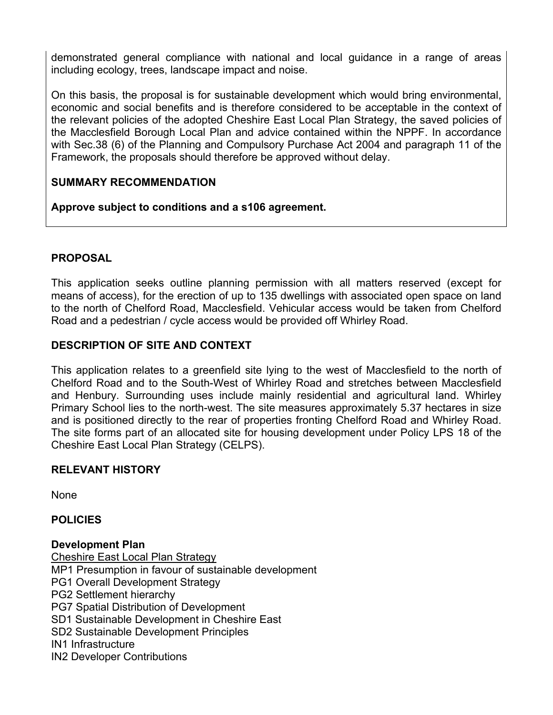demonstrated general compliance with national and local guidance in a range of areas including ecology, trees, landscape impact and noise.

On this basis, the proposal is for sustainable development which would bring environmental, economic and social benefits and is therefore considered to be acceptable in the context of the relevant policies of the adopted Cheshire East Local Plan Strategy, the saved policies of the Macclesfield Borough Local Plan and advice contained within the NPPF. In accordance with Sec.38 (6) of the Planning and Compulsory Purchase Act 2004 and paragraph 11 of the Framework, the proposals should therefore be approved without delay.

### **SUMMARY RECOMMENDATION**

**Approve subject to conditions and a s106 agreement.**

### **PROPOSAL**

This application seeks outline planning permission with all matters reserved (except for means of access), for the erection of up to 135 dwellings with associated open space on land to the north of Chelford Road, Macclesfield. Vehicular access would be taken from Chelford Road and a pedestrian / cycle access would be provided off Whirley Road.

### **DESCRIPTION OF SITE AND CONTEXT**

This application relates to a greenfield site lying to the west of Macclesfield to the north of Chelford Road and to the South-West of Whirley Road and stretches between Macclesfield and Henbury. Surrounding uses include mainly residential and agricultural land. Whirley Primary School lies to the north-west. The site measures approximately 5.37 hectares in size and is positioned directly to the rear of properties fronting Chelford Road and Whirley Road. The site forms part of an allocated site for housing development under Policy LPS 18 of the Cheshire East Local Plan Strategy (CELPS).

### **RELEVANT HISTORY**

None

**POLICIES**

#### **Development Plan**

Cheshire East Local Plan Strategy MP1 Presumption in favour of sustainable development PG1 Overall Development Strategy PG2 Settlement hierarchy PG7 Spatial Distribution of Development SD1 Sustainable Development in Cheshire East SD2 Sustainable Development Principles IN1 Infrastructure IN2 Developer Contributions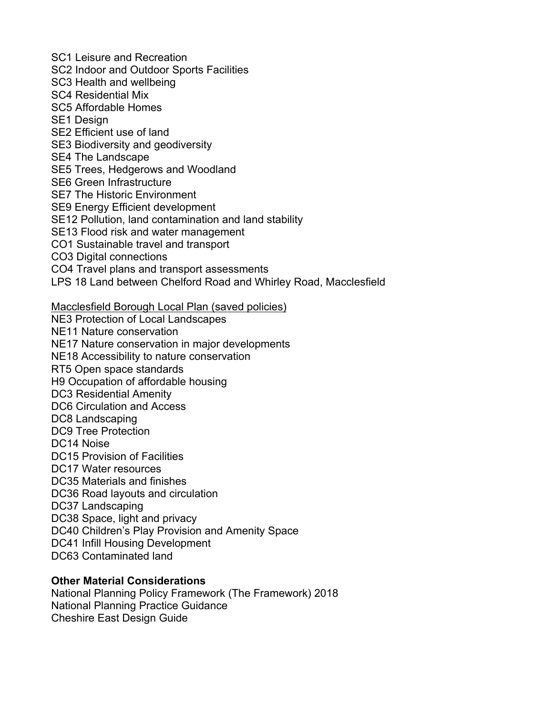SC1 Leisure and Recreation

SC2 Indoor and Outdoor Sports Facilities

SC3 Health and wellbeing

SC4 Residential Mix

SC5 Affordable Homes

SE1 Design

SE2 Efficient use of land

SE3 Biodiversity and geodiversity

SE4 The Landscape

SE5 Trees, Hedgerows and Woodland

SE6 Green Infrastructure

SE7 The Historic Environment

SE9 Energy Efficient development

SE12 Pollution, land contamination and land stability

SE13 Flood risk and water management

CO1 Sustainable travel and transport

CO3 Digital connections

CO4 Travel plans and transport assessments

LPS 18 Land between Chelford Road and Whirley Road, Macclesfield

Macclesfield Borough Local Plan (saved policies)

NE3 Protection of Local Landscapes

NE11 Nature conservation

NE17 Nature conservation in major developments

NE18 Accessibility to nature conservation

RT5 Open space standards

H9 Occupation of affordable housing

DC3 Residential Amenity

DC6 Circulation and Access

DC8 Landscaping

DC9 Tree Protection

DC14 Noise

DC15 Provision of Facilities

DC17 Water resources

DC35 Materials and finishes

DC36 Road layouts and circulation

DC37 Landscaping

DC38 Space, light and privacy

DC40 Children's Play Provision and Amenity Space

DC41 Infill Housing Development

DC63 Contaminated land

# **Other Material Considerations**

National Planning Policy Framework (The Framework) 2018 National Planning Practice Guidance Cheshire East Design Guide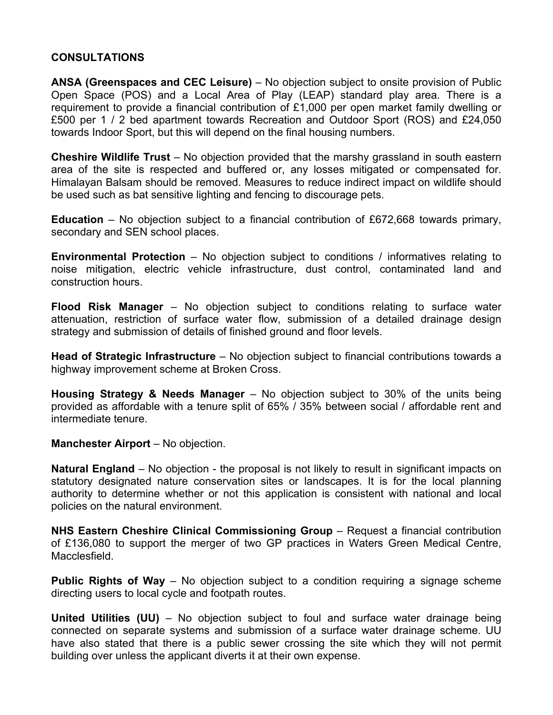#### **CONSULTATIONS**

**ANSA (Greenspaces and CEC Leisure)** – No objection subject to onsite provision of Public Open Space (POS) and a Local Area of Play (LEAP) standard play area. There is a requirement to provide a financial contribution of £1,000 per open market family dwelling or £500 per 1 / 2 bed apartment towards Recreation and Outdoor Sport (ROS) and £24,050 towards Indoor Sport, but this will depend on the final housing numbers.

**Cheshire Wildlife Trust** – No objection provided that the marshy grassland in south eastern area of the site is respected and buffered or, any losses mitigated or compensated for. Himalayan Balsam should be removed. Measures to reduce indirect impact on wildlife should be used such as bat sensitive lighting and fencing to discourage pets.

**Education** – No objection subject to a financial contribution of £672,668 towards primary, secondary and SEN school places.

**Environmental Protection** – No objection subject to conditions / informatives relating to noise mitigation, electric vehicle infrastructure, dust control, contaminated land and construction hours.

**Flood Risk Manager** – No objection subject to conditions relating to surface water attenuation, restriction of surface water flow, submission of a detailed drainage design strategy and submission of details of finished ground and floor levels.

**Head of Strategic Infrastructure** – No objection subject to financial contributions towards a highway improvement scheme at Broken Cross.

**Housing Strategy & Needs Manager** – No objection subject to 30% of the units being provided as affordable with a tenure split of 65% / 35% between social / affordable rent and intermediate tenure.

**Manchester Airport** – No objection.

**Natural England** – No objection - the proposal is not likely to result in significant impacts on statutory designated nature conservation sites or landscapes. It is for the local planning authority to determine whether or not this application is consistent with national and local policies on the natural environment.

**NHS Eastern Cheshire Clinical Commissioning Group** – Request a financial contribution of £136,080 to support the merger of two GP practices in Waters Green Medical Centre, Macclesfield.

**Public Rights of Way** – No objection subject to a condition requiring a signage scheme directing users to local cycle and footpath routes.

**United Utilities (UU)** – No objection subject to foul and surface water drainage being connected on separate systems and submission of a surface water drainage scheme. UU have also stated that there is a public sewer crossing the site which they will not permit building over unless the applicant diverts it at their own expense.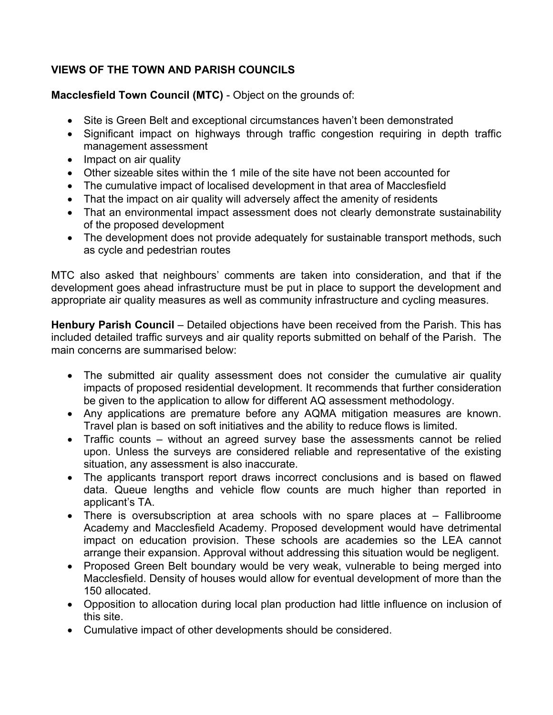# **VIEWS OF THE TOWN AND PARISH COUNCILS**

**Macclesfield Town Council (MTC)** - Object on the grounds of:

- Site is Green Belt and exceptional circumstances haven't been demonstrated
- Significant impact on highways through traffic congestion requiring in depth traffic management assessment
- Impact on air quality
- Other sizeable sites within the 1 mile of the site have not been accounted for
- The cumulative impact of localised development in that area of Macclesfield
- That the impact on air quality will adversely affect the amenity of residents
- That an environmental impact assessment does not clearly demonstrate sustainability of the proposed development
- The development does not provide adequately for sustainable transport methods, such as cycle and pedestrian routes

MTC also asked that neighbours' comments are taken into consideration, and that if the development goes ahead infrastructure must be put in place to support the development and appropriate air quality measures as well as community infrastructure and cycling measures.

**Henbury Parish Council** – Detailed objections have been received from the Parish. This has included detailed traffic surveys and air quality reports submitted on behalf of the Parish. The main concerns are summarised below:

- The submitted air quality assessment does not consider the cumulative air quality impacts of proposed residential development. It recommends that further consideration be given to the application to allow for different AQ assessment methodology.
- Any applications are premature before any AQMA mitigation measures are known. Travel plan is based on soft initiatives and the ability to reduce flows is limited.
- Traffic counts without an agreed survey base the assessments cannot be relied upon. Unless the surveys are considered reliable and representative of the existing situation, any assessment is also inaccurate.
- The applicants transport report draws incorrect conclusions and is based on flawed data. Queue lengths and vehicle flow counts are much higher than reported in applicant's TA.
- There is oversubscription at area schools with no spare places at Fallibroome Academy and Macclesfield Academy. Proposed development would have detrimental impact on education provision. These schools are academies so the LEA cannot arrange their expansion. Approval without addressing this situation would be negligent.
- Proposed Green Belt boundary would be very weak, vulnerable to being merged into Macclesfield. Density of houses would allow for eventual development of more than the 150 allocated.
- Opposition to allocation during local plan production had little influence on inclusion of this site.
- Cumulative impact of other developments should be considered.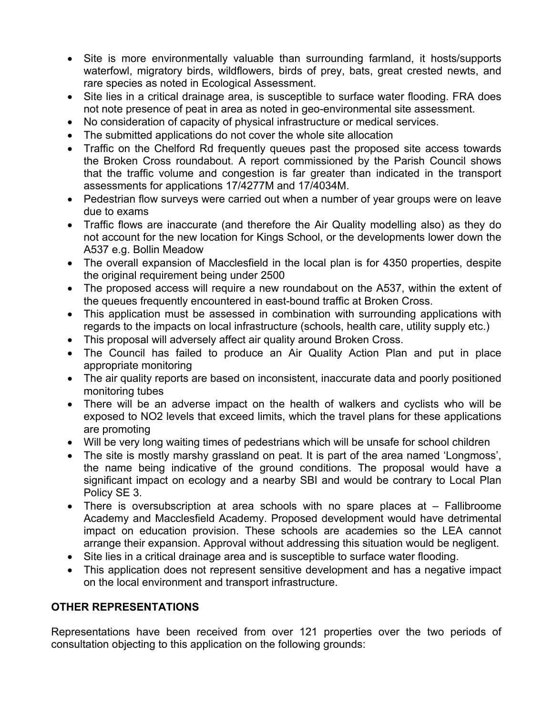- Site is more environmentally valuable than surrounding farmland, it hosts/supports waterfowl, migratory birds, wildflowers, birds of prey, bats, great crested newts, and rare species as noted in Ecological Assessment.
- Site lies in a critical drainage area, is susceptible to surface water flooding. FRA does not note presence of peat in area as noted in geo-environmental site assessment.
- No consideration of capacity of physical infrastructure or medical services.
- The submitted applications do not cover the whole site allocation
- Traffic on the Chelford Rd frequently queues past the proposed site access towards the Broken Cross roundabout. A report commissioned by the Parish Council shows that the traffic volume and congestion is far greater than indicated in the transport assessments for applications 17/4277M and 17/4034M.
- Pedestrian flow surveys were carried out when a number of year groups were on leave due to exams
- Traffic flows are inaccurate (and therefore the Air Quality modelling also) as they do not account for the new location for Kings School, or the developments lower down the A537 e.g. Bollin Meadow
- The overall expansion of Macclesfield in the local plan is for 4350 properties, despite the original requirement being under 2500
- The proposed access will require a new roundabout on the A537, within the extent of the queues frequently encountered in east-bound traffic at Broken Cross.
- This application must be assessed in combination with surrounding applications with regards to the impacts on local infrastructure (schools, health care, utility supply etc.)
- This proposal will adversely affect air quality around Broken Cross.
- The Council has failed to produce an Air Quality Action Plan and put in place appropriate monitoring
- The air quality reports are based on inconsistent, inaccurate data and poorly positioned monitoring tubes
- There will be an adverse impact on the health of walkers and cyclists who will be exposed to NO2 levels that exceed limits, which the travel plans for these applications are promoting
- Will be very long waiting times of pedestrians which will be unsafe for school children
- The site is mostly marshy grassland on peat. It is part of the area named 'Longmoss', the name being indicative of the ground conditions. The proposal would have a significant impact on ecology and a nearby SBI and would be contrary to Local Plan Policy SE 3.
- There is oversubscription at area schools with no spare places at Fallibroome Academy and Macclesfield Academy. Proposed development would have detrimental impact on education provision. These schools are academies so the LEA cannot arrange their expansion. Approval without addressing this situation would be negligent.
- Site lies in a critical drainage area and is susceptible to surface water flooding.
- This application does not represent sensitive development and has a negative impact on the local environment and transport infrastructure.

# **OTHER REPRESENTATIONS**

Representations have been received from over 121 properties over the two periods of consultation objecting to this application on the following grounds: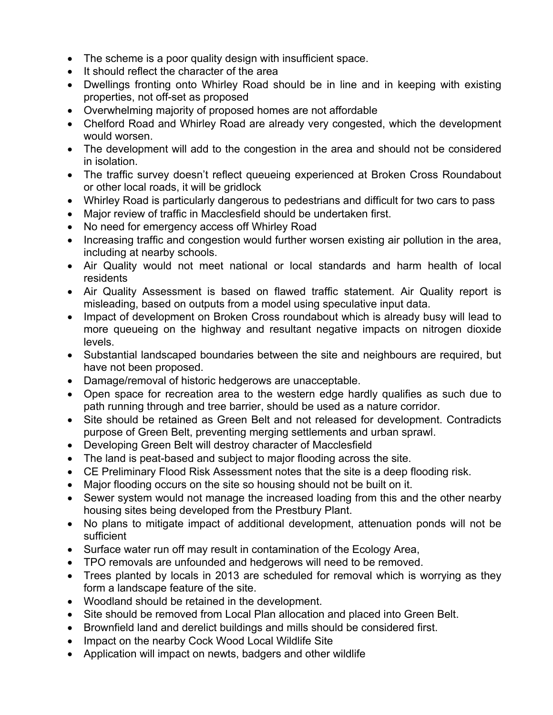- The scheme is a poor quality design with insufficient space.
- It should reflect the character of the area
- Dwellings fronting onto Whirley Road should be in line and in keeping with existing properties, not off-set as proposed
- Overwhelming majority of proposed homes are not affordable
- Chelford Road and Whirley Road are already very congested, which the development would worsen.
- The development will add to the congestion in the area and should not be considered in isolation.
- The traffic survey doesn't reflect queueing experienced at Broken Cross Roundabout or other local roads, it will be gridlock
- Whirley Road is particularly dangerous to pedestrians and difficult for two cars to pass
- Major review of traffic in Macclesfield should be undertaken first.
- No need for emergency access off Whirley Road
- Increasing traffic and congestion would further worsen existing air pollution in the area, including at nearby schools.
- Air Quality would not meet national or local standards and harm health of local residents
- Air Quality Assessment is based on flawed traffic statement. Air Quality report is misleading, based on outputs from a model using speculative input data.
- Impact of development on Broken Cross roundabout which is already busy will lead to more queueing on the highway and resultant negative impacts on nitrogen dioxide levels.
- Substantial landscaped boundaries between the site and neighbours are required, but have not been proposed.
- Damage/removal of historic hedgerows are unacceptable.
- Open space for recreation area to the western edge hardly qualifies as such due to path running through and tree barrier, should be used as a nature corridor.
- Site should be retained as Green Belt and not released for development. Contradicts purpose of Green Belt, preventing merging settlements and urban sprawl.
- Developing Green Belt will destroy character of Macclesfield
- The land is peat-based and subject to major flooding across the site.
- CE Preliminary Flood Risk Assessment notes that the site is a deep flooding risk.
- Major flooding occurs on the site so housing should not be built on it.
- Sewer system would not manage the increased loading from this and the other nearby housing sites being developed from the Prestbury Plant.
- No plans to mitigate impact of additional development, attenuation ponds will not be sufficient
- Surface water run off may result in contamination of the Ecology Area,
- TPO removals are unfounded and hedgerows will need to be removed.
- Trees planted by locals in 2013 are scheduled for removal which is worrying as they form a landscape feature of the site.
- Woodland should be retained in the development.
- Site should be removed from Local Plan allocation and placed into Green Belt.
- Brownfield land and derelict buildings and mills should be considered first.
- Impact on the nearby Cock Wood Local Wildlife Site
- Application will impact on newts, badgers and other wildlife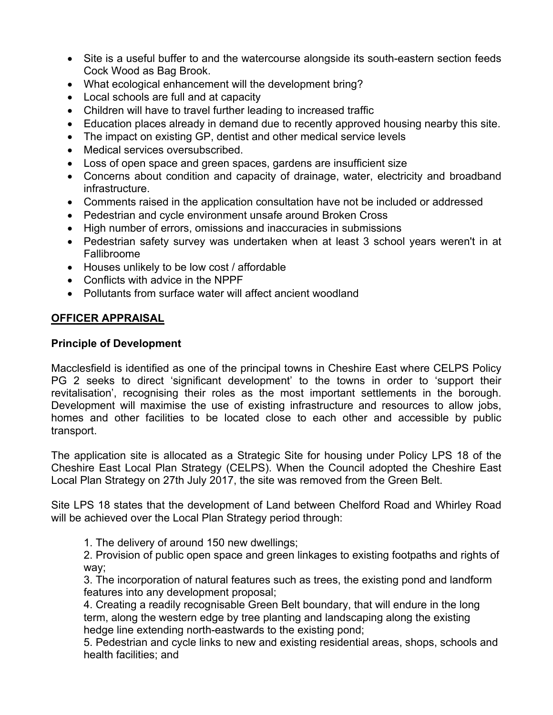- Site is a useful buffer to and the watercourse alongside its south-eastern section feeds Cock Wood as Bag Brook.
- What ecological enhancement will the development bring?
- Local schools are full and at capacity
- Children will have to travel further leading to increased traffic
- Education places already in demand due to recently approved housing nearby this site.
- The impact on existing GP, dentist and other medical service levels
- Medical services oversubscribed.
- Loss of open space and green spaces, gardens are insufficient size
- Concerns about condition and capacity of drainage, water, electricity and broadband infrastructure.
- Comments raised in the application consultation have not be included or addressed
- Pedestrian and cycle environment unsafe around Broken Cross
- High number of errors, omissions and inaccuracies in submissions
- Pedestrian safety survey was undertaken when at least 3 school years weren't in at Fallibroome
- Houses unlikely to be low cost / affordable
- Conflicts with advice in the NPPF
- Pollutants from surface water will affect ancient woodland

### **OFFICER APPRAISAL**

### **Principle of Development**

Macclesfield is identified as one of the principal towns in Cheshire East where CELPS Policy PG 2 seeks to direct 'significant development' to the towns in order to 'support their revitalisation', recognising their roles as the most important settlements in the borough. Development will maximise the use of existing infrastructure and resources to allow jobs, homes and other facilities to be located close to each other and accessible by public transport.

The application site is allocated as a Strategic Site for housing under Policy LPS 18 of the Cheshire East Local Plan Strategy (CELPS). When the Council adopted the Cheshire East Local Plan Strategy on 27th July 2017, the site was removed from the Green Belt.

Site LPS 18 states that the development of Land between Chelford Road and Whirley Road will be achieved over the Local Plan Strategy period through:

1. The delivery of around 150 new dwellings;

2. Provision of public open space and green linkages to existing footpaths and rights of way;

3. The incorporation of natural features such as trees, the existing pond and landform features into any development proposal;

4. Creating a readily recognisable Green Belt boundary, that will endure in the long term, along the western edge by tree planting and landscaping along the existing hedge line extending north-eastwards to the existing pond;

5. Pedestrian and cycle links to new and existing residential areas, shops, schools and health facilities; and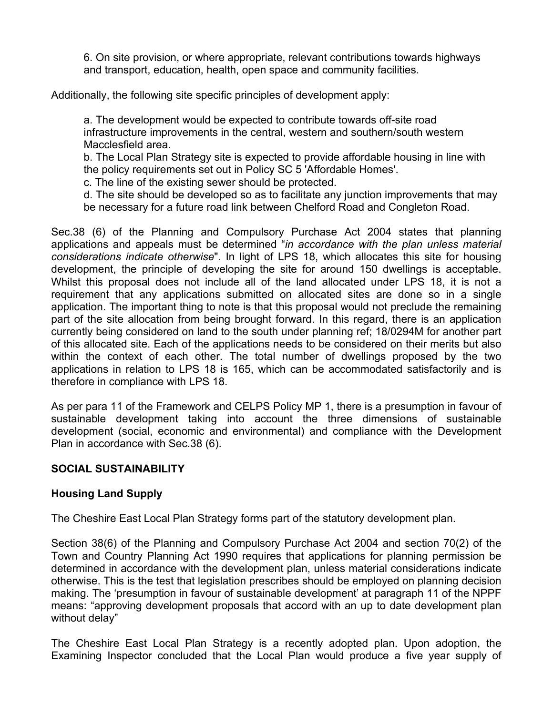6. On site provision, or where appropriate, relevant contributions towards highways and transport, education, health, open space and community facilities.

Additionally, the following site specific principles of development apply:

a. The development would be expected to contribute towards off-site road infrastructure improvements in the central, western and southern/south western Macclesfield area.

b. The Local Plan Strategy site is expected to provide affordable housing in line with the policy requirements set out in Policy SC 5 'Affordable Homes'.

c. The line of the existing sewer should be protected.

d. The site should be developed so as to facilitate any junction improvements that may be necessary for a future road link between Chelford Road and Congleton Road.

Sec.38 (6) of the Planning and Compulsory Purchase Act 2004 states that planning applications and appeals must be determined "*in accordance with the plan unless material considerations indicate otherwise*". In light of LPS 18, which allocates this site for housing development, the principle of developing the site for around 150 dwellings is acceptable. Whilst this proposal does not include all of the land allocated under LPS 18, it is not a requirement that any applications submitted on allocated sites are done so in a single application. The important thing to note is that this proposal would not preclude the remaining part of the site allocation from being brought forward. In this regard, there is an application currently being considered on land to the south under planning ref; 18/0294M for another part of this allocated site. Each of the applications needs to be considered on their merits but also within the context of each other. The total number of dwellings proposed by the two applications in relation to LPS 18 is 165, which can be accommodated satisfactorily and is therefore in compliance with LPS 18.

As per para 11 of the Framework and CELPS Policy MP 1, there is a presumption in favour of sustainable development taking into account the three dimensions of sustainable development (social, economic and environmental) and compliance with the Development Plan in accordance with Sec.38 (6).

### **SOCIAL SUSTAINABILITY**

# **Housing Land Supply**

The Cheshire East Local Plan Strategy forms part of the statutory development plan.

Section 38(6) of the Planning and Compulsory Purchase Act 2004 and section 70(2) of the Town and Country Planning Act 1990 requires that applications for planning permission be determined in accordance with the development plan, unless material considerations indicate otherwise. This is the test that legislation prescribes should be employed on planning decision making. The 'presumption in favour of sustainable development' at paragraph 11 of the NPPF means: "approving development proposals that accord with an up to date development plan without delay"

The Cheshire East Local Plan Strategy is a recently adopted plan. Upon adoption, the Examining Inspector concluded that the Local Plan would produce a five year supply of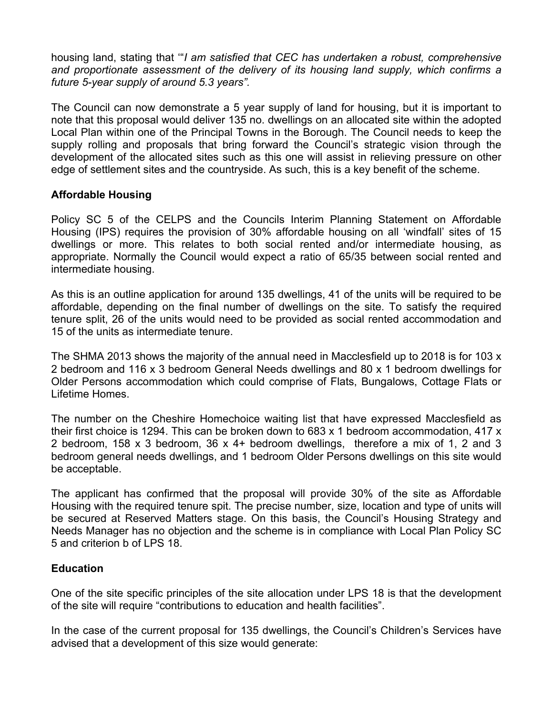housing land, stating that '"*I am satisfied that CEC has undertaken a robust, comprehensive and proportionate assessment of the delivery of its housing land supply, which confirms a future 5-year supply of around 5.3 years".*

The Council can now demonstrate a 5 year supply of land for housing, but it is important to note that this proposal would deliver 135 no. dwellings on an allocated site within the adopted Local Plan within one of the Principal Towns in the Borough. The Council needs to keep the supply rolling and proposals that bring forward the Council's strategic vision through the development of the allocated sites such as this one will assist in relieving pressure on other edge of settlement sites and the countryside. As such, this is a key benefit of the scheme.

### **Affordable Housing**

Policy SC 5 of the CELPS and the Councils Interim Planning Statement on Affordable Housing (IPS) requires the provision of 30% affordable housing on all 'windfall' sites of 15 dwellings or more. This relates to both social rented and/or intermediate housing, as appropriate. Normally the Council would expect a ratio of 65/35 between social rented and intermediate housing.

As this is an outline application for around 135 dwellings, 41 of the units will be required to be affordable, depending on the final number of dwellings on the site. To satisfy the required tenure split, 26 of the units would need to be provided as social rented accommodation and 15 of the units as intermediate tenure.

The SHMA 2013 shows the majority of the annual need in Macclesfield up to 2018 is for 103 x 2 bedroom and 116 x 3 bedroom General Needs dwellings and 80 x 1 bedroom dwellings for Older Persons accommodation which could comprise of Flats, Bungalows, Cottage Flats or Lifetime Homes.

The number on the Cheshire Homechoice waiting list that have expressed Macclesfield as their first choice is 1294. This can be broken down to 683 x 1 bedroom accommodation, 417 x 2 bedroom, 158 x 3 bedroom, 36 x 4+ bedroom dwellings, therefore a mix of 1, 2 and 3 bedroom general needs dwellings, and 1 bedroom Older Persons dwellings on this site would be acceptable.

The applicant has confirmed that the proposal will provide 30% of the site as Affordable Housing with the required tenure spit. The precise number, size, location and type of units will be secured at Reserved Matters stage. On this basis, the Council's Housing Strategy and Needs Manager has no objection and the scheme is in compliance with Local Plan Policy SC 5 and criterion b of LPS 18.

### **Education**

One of the site specific principles of the site allocation under LPS 18 is that the development of the site will require "contributions to education and health facilities".

In the case of the current proposal for 135 dwellings, the Council's Children's Services have advised that a development of this size would generate: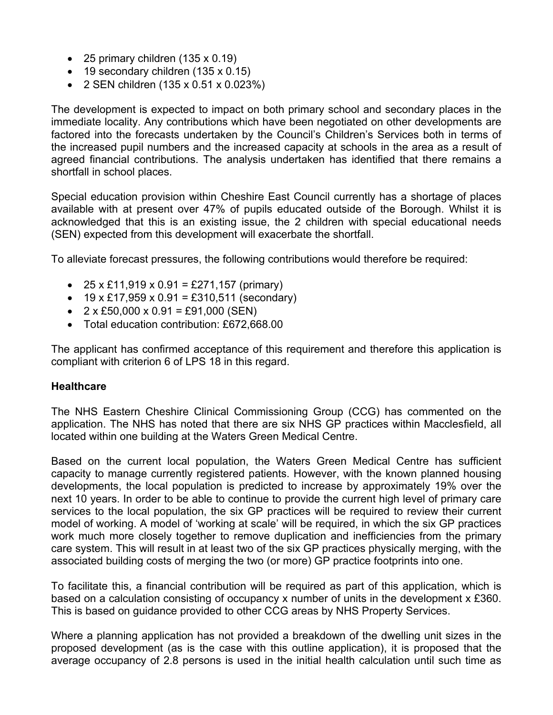- $\bullet$  25 primary children (135 x 0.19)
- $\bullet$  19 secondary children (135 x 0.15)
- 2 SEN children (135 x 0.51 x 0.023%)

The development is expected to impact on both primary school and secondary places in the immediate locality. Any contributions which have been negotiated on other developments are factored into the forecasts undertaken by the Council's Children's Services both in terms of the increased pupil numbers and the increased capacity at schools in the area as a result of agreed financial contributions. The analysis undertaken has identified that there remains a shortfall in school places.

Special education provision within Cheshire East Council currently has a shortage of places available with at present over 47% of pupils educated outside of the Borough. Whilst it is acknowledged that this is an existing issue, the 2 children with special educational needs (SEN) expected from this development will exacerbate the shortfall.

To alleviate forecast pressures, the following contributions would therefore be required:

- $25 \times £11,919 \times 0.91 = £271,157$  (primary)
- $19 \times £17,959 \times 0.91 = £310,511$  (secondary)
- $2 \times £50,000 \times 0.91 = £91,000$  (SEN)
- Total education contribution: £672,668.00

The applicant has confirmed acceptance of this requirement and therefore this application is compliant with criterion 6 of LPS 18 in this regard.

### **Healthcare**

The NHS Eastern Cheshire Clinical Commissioning Group (CCG) has commented on the application. The NHS has noted that there are six NHS GP practices within Macclesfield, all located within one building at the Waters Green Medical Centre.

Based on the current local population, the Waters Green Medical Centre has sufficient capacity to manage currently registered patients. However, with the known planned housing developments, the local population is predicted to increase by approximately 19% over the next 10 years. In order to be able to continue to provide the current high level of primary care services to the local population, the six GP practices will be required to review their current model of working. A model of 'working at scale' will be required, in which the six GP practices work much more closely together to remove duplication and inefficiencies from the primary care system. This will result in at least two of the six GP practices physically merging, with the associated building costs of merging the two (or more) GP practice footprints into one.

To facilitate this, a financial contribution will be required as part of this application, which is based on a calculation consisting of occupancy x number of units in the development x £360. This is based on guidance provided to other CCG areas by NHS Property Services.

Where a planning application has not provided a breakdown of the dwelling unit sizes in the proposed development (as is the case with this outline application), it is proposed that the average occupancy of 2.8 persons is used in the initial health calculation until such time as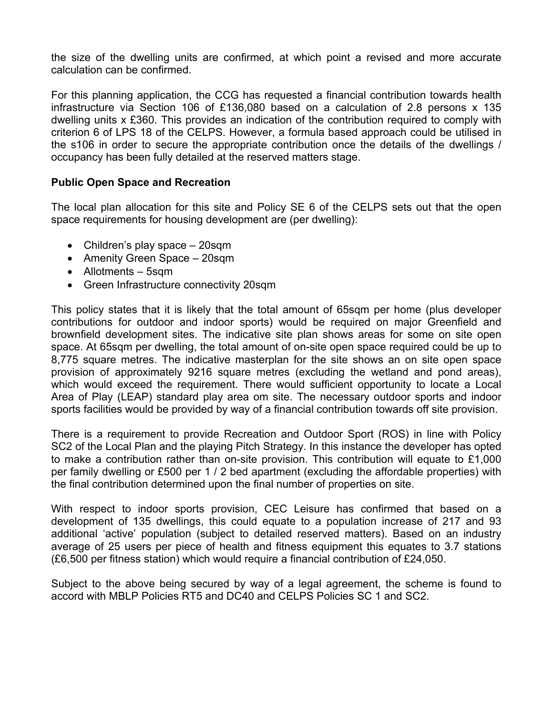the size of the dwelling units are confirmed, at which point a revised and more accurate calculation can be confirmed.

For this planning application, the CCG has requested a financial contribution towards health infrastructure via Section 106 of £136,080 based on a calculation of 2.8 persons x 135 dwelling units x £360. This provides an indication of the contribution required to comply with criterion 6 of LPS 18 of the CELPS. However, a formula based approach could be utilised in the s106 in order to secure the appropriate contribution once the details of the dwellings / occupancy has been fully detailed at the reserved matters stage.

### **Public Open Space and Recreation**

The local plan allocation for this site and Policy SE 6 of the CELPS sets out that the open space requirements for housing development are (per dwelling):

- Children's play space 20sqm
- Amenity Green Space 20sqm
- Allotments 5sqm
- Green Infrastructure connectivity 20sqm

This policy states that it is likely that the total amount of 65sqm per home (plus developer contributions for outdoor and indoor sports) would be required on major Greenfield and brownfield development sites. The indicative site plan shows areas for some on site open space. At 65sqm per dwelling, the total amount of on-site open space required could be up to 8,775 square metres. The indicative masterplan for the site shows an on site open space provision of approximately 9216 square metres (excluding the wetland and pond areas), which would exceed the requirement. There would sufficient opportunity to locate a Local Area of Play (LEAP) standard play area om site. The necessary outdoor sports and indoor sports facilities would be provided by way of a financial contribution towards off site provision.

There is a requirement to provide Recreation and Outdoor Sport (ROS) in line with Policy SC2 of the Local Plan and the playing Pitch Strategy. In this instance the developer has opted to make a contribution rather than on-site provision. This contribution will equate to £1,000 per family dwelling or £500 per 1 / 2 bed apartment (excluding the affordable properties) with the final contribution determined upon the final number of properties on site.

With respect to indoor sports provision, CEC Leisure has confirmed that based on a development of 135 dwellings, this could equate to a population increase of 217 and 93 additional 'active' population (subject to detailed reserved matters). Based on an industry average of 25 users per piece of health and fitness equipment this equates to 3.7 stations (£6,500 per fitness station) which would require a financial contribution of £24,050.

Subject to the above being secured by way of a legal agreement, the scheme is found to accord with MBLP Policies RT5 and DC40 and CELPS Policies SC 1 and SC2.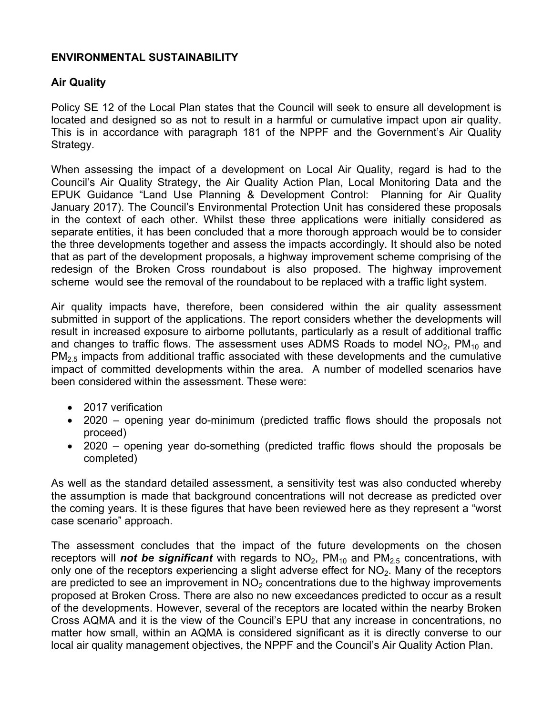### **ENVIRONMENTAL SUSTAINABILITY**

# **Air Quality**

Policy SE 12 of the Local Plan states that the Council will seek to ensure all development is located and designed so as not to result in a harmful or cumulative impact upon air quality. This is in accordance with paragraph 181 of the NPPF and the Government's Air Quality Strategy.

When assessing the impact of a development on Local Air Quality, regard is had to the Council's Air Quality Strategy, the Air Quality Action Plan, Local Monitoring Data and the EPUK Guidance "Land Use Planning & Development Control: Planning for Air Quality January 2017). The Council's Environmental Protection Unit has considered these proposals in the context of each other. Whilst these three applications were initially considered as separate entities, it has been concluded that a more thorough approach would be to consider the three developments together and assess the impacts accordingly. It should also be noted that as part of the development proposals, a highway improvement scheme comprising of the redesign of the Broken Cross roundabout is also proposed. The highway improvement scheme would see the removal of the roundabout to be replaced with a traffic light system.

Air quality impacts have, therefore, been considered within the air quality assessment submitted in support of the applications. The report considers whether the developments will result in increased exposure to airborne pollutants, particularly as a result of additional traffic and changes to traffic flows. The assessment uses ADMS Roads to model  $NO<sub>2</sub>$ ,  $PM<sub>10</sub>$  and  $PM<sub>2.5</sub>$  impacts from additional traffic associated with these developments and the cumulative impact of committed developments within the area. A number of modelled scenarios have been considered within the assessment. These were:

- 2017 verification
- 2020 opening year do-minimum (predicted traffic flows should the proposals not proceed)
- 2020 opening year do-something (predicted traffic flows should the proposals be completed)

As well as the standard detailed assessment, a sensitivity test was also conducted whereby the assumption is made that background concentrations will not decrease as predicted over the coming years. It is these figures that have been reviewed here as they represent a "worst case scenario" approach.

The assessment concludes that the impact of the future developments on the chosen receptors will **not be significant** with regards to  $NO<sub>2</sub>$ ,  $PM<sub>10</sub>$  and  $PM<sub>2.5</sub>$  concentrations, with only one of the receptors experiencing a slight adverse effect for  $NO<sub>2</sub>$ . Many of the receptors are predicted to see an improvement in  $NO<sub>2</sub>$  concentrations due to the highway improvements proposed at Broken Cross. There are also no new exceedances predicted to occur as a result of the developments. However, several of the receptors are located within the nearby Broken Cross AQMA and it is the view of the Council's EPU that any increase in concentrations, no matter how small, within an AQMA is considered significant as it is directly converse to our local air quality management objectives, the NPPF and the Council's Air Quality Action Plan.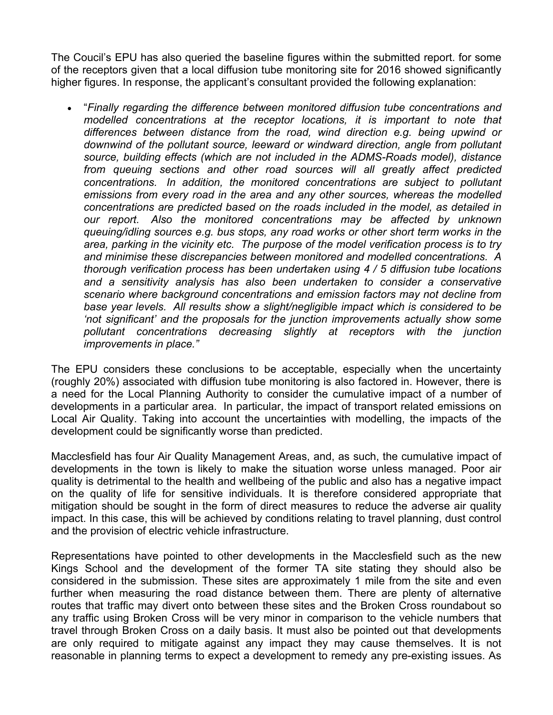The Coucil's EPU has also queried the baseline figures within the submitted report. for some of the receptors given that a local diffusion tube monitoring site for 2016 showed significantly higher figures. In response, the applicant's consultant provided the following explanation:

 "*Finally regarding the difference between monitored diffusion tube concentrations and modelled concentrations at the receptor locations, it is important to note that differences between distance from the road, wind direction e.g. being upwind or downwind of the pollutant source, leeward or windward direction, angle from pollutant source, building effects (which are not included in the ADMS-Roads model), distance from queuing sections and other road sources will all greatly affect predicted concentrations. In addition, the monitored concentrations are subject to pollutant emissions from every road in the area and any other sources, whereas the modelled concentrations are predicted based on the roads included in the model, as detailed in our report. Also the monitored concentrations may be affected by unknown queuing/idling sources e.g. bus stops, any road works or other short term works in the area, parking in the vicinity etc. The purpose of the model verification process is to try and minimise these discrepancies between monitored and modelled concentrations. A thorough verification process has been undertaken using 4 / 5 diffusion tube locations and a sensitivity analysis has also been undertaken to consider a conservative scenario where background concentrations and emission factors may not decline from base year levels. All results show a slight/negligible impact which is considered to be 'not significant' and the proposals for the junction improvements actually show some pollutant concentrations decreasing slightly at receptors with the junction improvements in place."*

The EPU considers these conclusions to be acceptable, especially when the uncertainty (roughly 20%) associated with diffusion tube monitoring is also factored in. However, there is a need for the Local Planning Authority to consider the cumulative impact of a number of developments in a particular area. In particular, the impact of transport related emissions on Local Air Quality. Taking into account the uncertainties with modelling, the impacts of the development could be significantly worse than predicted.

Macclesfield has four Air Quality Management Areas, and, as such, the cumulative impact of developments in the town is likely to make the situation worse unless managed. Poor air quality is detrimental to the health and wellbeing of the public and also has a negative impact on the quality of life for sensitive individuals. It is therefore considered appropriate that mitigation should be sought in the form of direct measures to reduce the adverse air quality impact. In this case, this will be achieved by conditions relating to travel planning, dust control and the provision of electric vehicle infrastructure.

Representations have pointed to other developments in the Macclesfield such as the new Kings School and the development of the former TA site stating they should also be considered in the submission. These sites are approximately 1 mile from the site and even further when measuring the road distance between them. There are plenty of alternative routes that traffic may divert onto between these sites and the Broken Cross roundabout so any traffic using Broken Cross will be very minor in comparison to the vehicle numbers that travel through Broken Cross on a daily basis. It must also be pointed out that developments are only required to mitigate against any impact they may cause themselves. It is not reasonable in planning terms to expect a development to remedy any pre-existing issues. As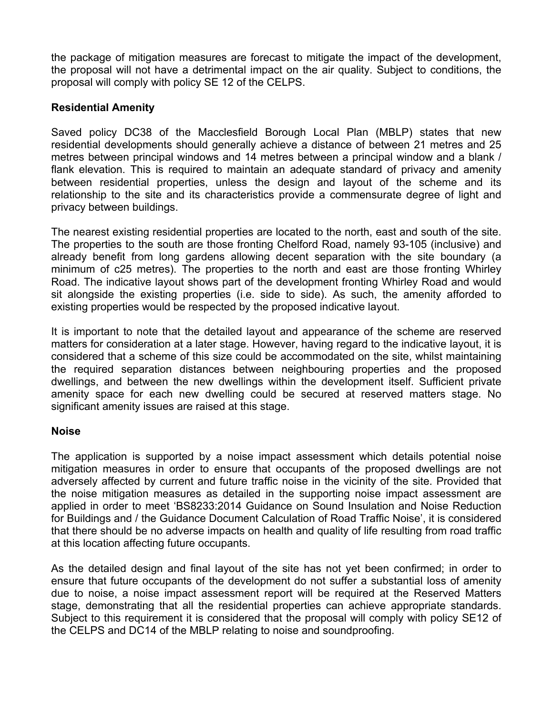the package of mitigation measures are forecast to mitigate the impact of the development, the proposal will not have a detrimental impact on the air quality. Subject to conditions, the proposal will comply with policy SE 12 of the CELPS.

### **Residential Amenity**

Saved policy DC38 of the Macclesfield Borough Local Plan (MBLP) states that new residential developments should generally achieve a distance of between 21 metres and 25 metres between principal windows and 14 metres between a principal window and a blank / flank elevation. This is required to maintain an adequate standard of privacy and amenity between residential properties, unless the design and layout of the scheme and its relationship to the site and its characteristics provide a commensurate degree of light and privacy between buildings.

The nearest existing residential properties are located to the north, east and south of the site. The properties to the south are those fronting Chelford Road, namely 93-105 (inclusive) and already benefit from long gardens allowing decent separation with the site boundary (a minimum of c25 metres). The properties to the north and east are those fronting Whirley Road. The indicative layout shows part of the development fronting Whirley Road and would sit alongside the existing properties (i.e. side to side). As such, the amenity afforded to existing properties would be respected by the proposed indicative layout.

It is important to note that the detailed layout and appearance of the scheme are reserved matters for consideration at a later stage. However, having regard to the indicative layout, it is considered that a scheme of this size could be accommodated on the site, whilst maintaining the required separation distances between neighbouring properties and the proposed dwellings, and between the new dwellings within the development itself. Sufficient private amenity space for each new dwelling could be secured at reserved matters stage. No significant amenity issues are raised at this stage.

### **Noise**

The application is supported by a noise impact assessment which details potential noise mitigation measures in order to ensure that occupants of the proposed dwellings are not adversely affected by current and future traffic noise in the vicinity of the site. Provided that the noise mitigation measures as detailed in the supporting noise impact assessment are applied in order to meet 'BS8233:2014 Guidance on Sound Insulation and Noise Reduction for Buildings and / the Guidance Document Calculation of Road Traffic Noise', it is considered that there should be no adverse impacts on health and quality of life resulting from road traffic at this location affecting future occupants.

As the detailed design and final layout of the site has not yet been confirmed; in order to ensure that future occupants of the development do not suffer a substantial loss of amenity due to noise, a noise impact assessment report will be required at the Reserved Matters stage, demonstrating that all the residential properties can achieve appropriate standards. Subject to this requirement it is considered that the proposal will comply with policy SE12 of the CELPS and DC14 of the MBLP relating to noise and soundproofing.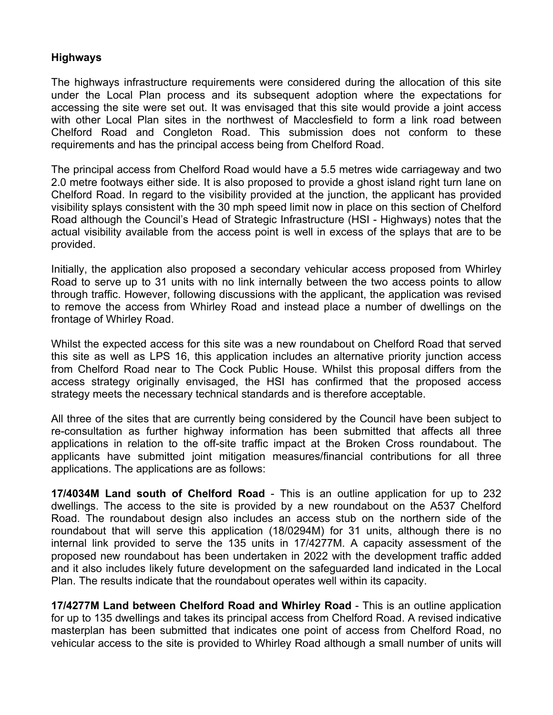#### **Highways**

The highways infrastructure requirements were considered during the allocation of this site under the Local Plan process and its subsequent adoption where the expectations for accessing the site were set out. It was envisaged that this site would provide a joint access with other Local Plan sites in the northwest of Macclesfield to form a link road between Chelford Road and Congleton Road. This submission does not conform to these requirements and has the principal access being from Chelford Road.

The principal access from Chelford Road would have a 5.5 metres wide carriageway and two 2.0 metre footways either side. It is also proposed to provide a ghost island right turn lane on Chelford Road. In regard to the visibility provided at the junction, the applicant has provided visibility splays consistent with the 30 mph speed limit now in place on this section of Chelford Road although the Council's Head of Strategic Infrastructure (HSI - Highways) notes that the actual visibility available from the access point is well in excess of the splays that are to be provided.

Initially, the application also proposed a secondary vehicular access proposed from Whirley Road to serve up to 31 units with no link internally between the two access points to allow through traffic. However, following discussions with the applicant, the application was revised to remove the access from Whirley Road and instead place a number of dwellings on the frontage of Whirley Road.

Whilst the expected access for this site was a new roundabout on Chelford Road that served this site as well as LPS 16, this application includes an alternative priority junction access from Chelford Road near to The Cock Public House. Whilst this proposal differs from the access strategy originally envisaged, the HSI has confirmed that the proposed access strategy meets the necessary technical standards and is therefore acceptable.

All three of the sites that are currently being considered by the Council have been subject to re-consultation as further highway information has been submitted that affects all three applications in relation to the off-site traffic impact at the Broken Cross roundabout. The applicants have submitted joint mitigation measures/financial contributions for all three applications. The applications are as follows:

**17/4034M Land south of Chelford Road** - This is an outline application for up to 232 dwellings. The access to the site is provided by a new roundabout on the A537 Chelford Road. The roundabout design also includes an access stub on the northern side of the roundabout that will serve this application (18/0294M) for 31 units, although there is no internal link provided to serve the 135 units in 17/4277M. A capacity assessment of the proposed new roundabout has been undertaken in 2022 with the development traffic added and it also includes likely future development on the safeguarded land indicated in the Local Plan. The results indicate that the roundabout operates well within its capacity.

**17/4277M Land between Chelford Road and Whirley Road** - This is an outline application for up to 135 dwellings and takes its principal access from Chelford Road. A revised indicative masterplan has been submitted that indicates one point of access from Chelford Road, no vehicular access to the site is provided to Whirley Road although a small number of units will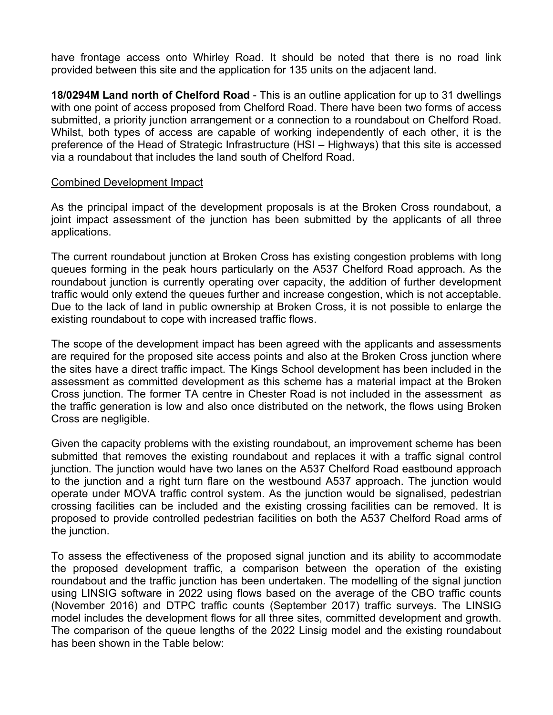have frontage access onto Whirley Road. It should be noted that there is no road link provided between this site and the application for 135 units on the adjacent land.

**18/0294M Land north of Chelford Road** - This is an outline application for up to 31 dwellings with one point of access proposed from Chelford Road. There have been two forms of access submitted, a priority junction arrangement or a connection to a roundabout on Chelford Road. Whilst, both types of access are capable of working independently of each other, it is the preference of the Head of Strategic Infrastructure (HSI – Highways) that this site is accessed via a roundabout that includes the land south of Chelford Road.

#### Combined Development Impact

As the principal impact of the development proposals is at the Broken Cross roundabout, a joint impact assessment of the junction has been submitted by the applicants of all three applications.

The current roundabout junction at Broken Cross has existing congestion problems with long queues forming in the peak hours particularly on the A537 Chelford Road approach. As the roundabout junction is currently operating over capacity, the addition of further development traffic would only extend the queues further and increase congestion, which is not acceptable. Due to the lack of land in public ownership at Broken Cross, it is not possible to enlarge the existing roundabout to cope with increased traffic flows.

The scope of the development impact has been agreed with the applicants and assessments are required for the proposed site access points and also at the Broken Cross junction where the sites have a direct traffic impact. The Kings School development has been included in the assessment as committed development as this scheme has a material impact at the Broken Cross junction. The former TA centre in Chester Road is not included in the assessment as the traffic generation is low and also once distributed on the network, the flows using Broken Cross are negligible.

Given the capacity problems with the existing roundabout, an improvement scheme has been submitted that removes the existing roundabout and replaces it with a traffic signal control junction. The junction would have two lanes on the A537 Chelford Road eastbound approach to the junction and a right turn flare on the westbound A537 approach. The junction would operate under MOVA traffic control system. As the junction would be signalised, pedestrian crossing facilities can be included and the existing crossing facilities can be removed. It is proposed to provide controlled pedestrian facilities on both the A537 Chelford Road arms of the junction.

To assess the effectiveness of the proposed signal junction and its ability to accommodate the proposed development traffic, a comparison between the operation of the existing roundabout and the traffic junction has been undertaken. The modelling of the signal junction using LINSIG software in 2022 using flows based on the average of the CBO traffic counts (November 2016) and DTPC traffic counts (September 2017) traffic surveys. The LINSIG model includes the development flows for all three sites, committed development and growth. The comparison of the queue lengths of the 2022 Linsig model and the existing roundabout has been shown in the Table below: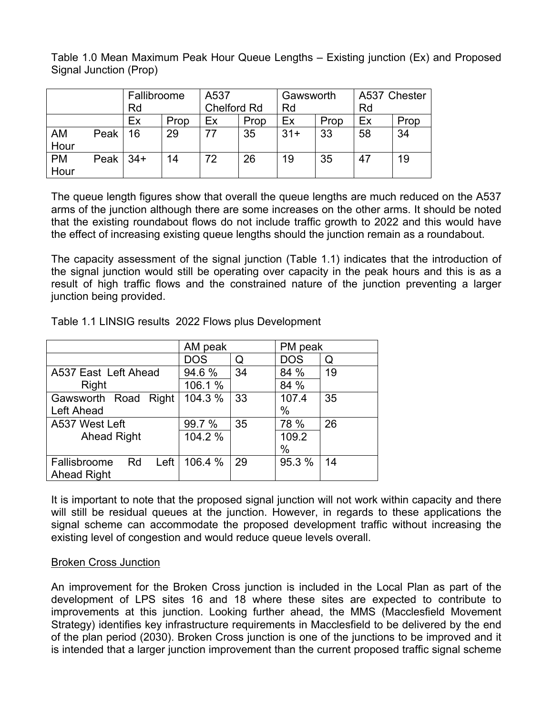Table 1.0 Mean Maximum Peak Hour Queue Lengths – Existing junction (Ex) and Proposed Signal Junction (Prop)

|                   |          | Fallibroome<br>Rd |      | A537<br><b>Chelford Rd</b> |      | Gawsworth<br>Rd |      | A537 Chester<br>Rd |      |
|-------------------|----------|-------------------|------|----------------------------|------|-----------------|------|--------------------|------|
|                   |          |                   |      |                            |      |                 |      |                    |      |
|                   |          | Ex                | Prop | Eх                         | Prop | Ex              | Prop | Ex                 | Prop |
| <b>AM</b><br>Hour | Peak     | 16                | 29   | 77                         | 35   | $31+$           | 33   | 58                 | 34   |
| <b>PM</b><br>Hour | Peak $ $ | $34+$             | 14   | 72                         | 26   | 19              | 35   | 47                 | 19   |

The queue length figures show that overall the queue lengths are much reduced on the A537 arms of the junction although there are some increases on the other arms. It should be noted that the existing roundabout flows do not include traffic growth to 2022 and this would have the effect of increasing existing queue lengths should the junction remain as a roundabout.

The capacity assessment of the signal junction (Table 1.1) indicates that the introduction of the signal junction would still be operating over capacity in the peak hours and this is as a result of high traffic flows and the constrained nature of the junction preventing a larger junction being provided.

|                            | AM peak    |    | PM peak |    |  |
|----------------------------|------------|----|---------|----|--|
|                            | <b>DOS</b> | Q  | DOS     | Q  |  |
| A537 East Left Ahead       | 94.6%      | 34 | 84 %    | 19 |  |
| Right                      | 106.1 %    |    | 84 %    |    |  |
| Gawsworth Road Right       | 104.3 %    | 33 | 107.4   | 35 |  |
| Left Ahead                 |            |    | %       |    |  |
| A537 West Left             | 99.7 %     | 35 | 78 %    | 26 |  |
| <b>Ahead Right</b>         | 104.2 %    |    | 109.2   |    |  |
|                            |            |    | %       |    |  |
| Left<br>Fallisbroome<br>Rd | 106.4 %    | 29 | 95.3 %  | 14 |  |
| <b>Ahead Right</b>         |            |    |         |    |  |

Table 1.1 LINSIG results 2022 Flows plus Development

It is important to note that the proposed signal junction will not work within capacity and there will still be residual queues at the junction. However, in regards to these applications the signal scheme can accommodate the proposed development traffic without increasing the existing level of congestion and would reduce queue levels overall.

# Broken Cross Junction

An improvement for the Broken Cross junction is included in the Local Plan as part of the development of LPS sites 16 and 18 where these sites are expected to contribute to improvements at this junction. Looking further ahead, the MMS (Macclesfield Movement Strategy) identifies key infrastructure requirements in Macclesfield to be delivered by the end of the plan period (2030). Broken Cross junction is one of the junctions to be improved and it is intended that a larger junction improvement than the current proposed traffic signal scheme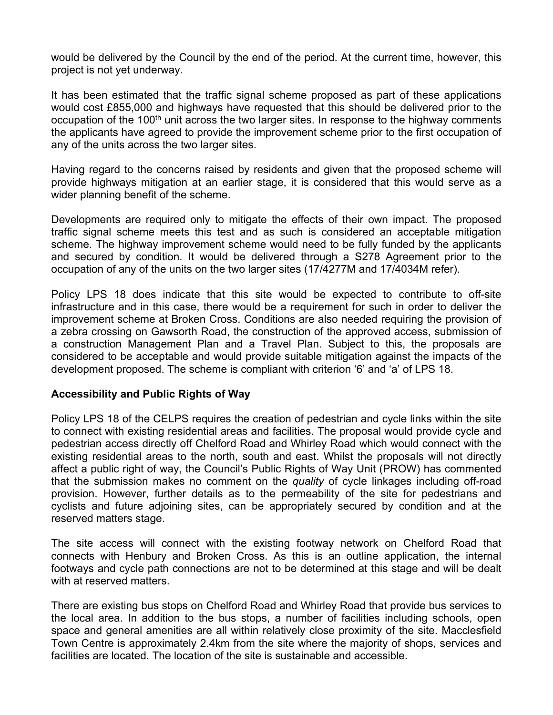would be delivered by the Council by the end of the period. At the current time, however, this project is not yet underway.

It has been estimated that the traffic signal scheme proposed as part of these applications would cost £855,000 and highways have requested that this should be delivered prior to the occupation of the 100<sup>th</sup> unit across the two larger sites. In response to the highway comments the applicants have agreed to provide the improvement scheme prior to the first occupation of any of the units across the two larger sites.

Having regard to the concerns raised by residents and given that the proposed scheme will provide highways mitigation at an earlier stage, it is considered that this would serve as a wider planning benefit of the scheme.

Developments are required only to mitigate the effects of their own impact. The proposed traffic signal scheme meets this test and as such is considered an acceptable mitigation scheme. The highway improvement scheme would need to be fully funded by the applicants and secured by condition. It would be delivered through a S278 Agreement prior to the occupation of any of the units on the two larger sites (17/4277M and 17/4034M refer).

Policy LPS 18 does indicate that this site would be expected to contribute to off-site infrastructure and in this case, there would be a requirement for such in order to deliver the improvement scheme at Broken Cross. Conditions are also needed requiring the provision of a zebra crossing on Gawsorth Road, the construction of the approved access, submission of a construction Management Plan and a Travel Plan. Subject to this, the proposals are considered to be acceptable and would provide suitable mitigation against the impacts of the development proposed. The scheme is compliant with criterion '6' and 'a' of LPS 18.

### **Accessibility and Public Rights of Way**

Policy LPS 18 of the CELPS requires the creation of pedestrian and cycle links within the site to connect with existing residential areas and facilities. The proposal would provide cycle and pedestrian access directly off Chelford Road and Whirley Road which would connect with the existing residential areas to the north, south and east. Whilst the proposals will not directly affect a public right of way, the Council's Public Rights of Way Unit (PROW) has commented that the submission makes no comment on the *quality* of cycle linkages including off-road provision. However, further details as to the permeability of the site for pedestrians and cyclists and future adjoining sites, can be appropriately secured by condition and at the reserved matters stage.

The site access will connect with the existing footway network on Chelford Road that connects with Henbury and Broken Cross. As this is an outline application, the internal footways and cycle path connections are not to be determined at this stage and will be dealt with at reserved matters.

There are existing bus stops on Chelford Road and Whirley Road that provide bus services to the local area. In addition to the bus stops, a number of facilities including schools, open space and general amenities are all within relatively close proximity of the site. Macclesfield Town Centre is approximately 2.4km from the site where the majority of shops, services and facilities are located. The location of the site is sustainable and accessible.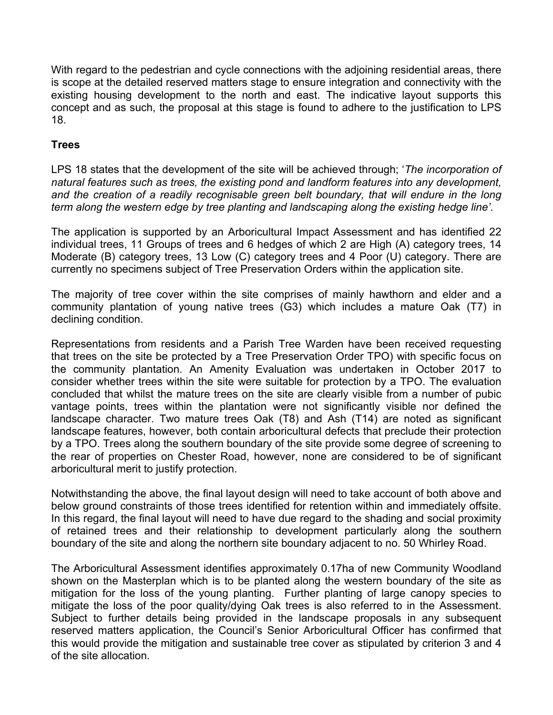With regard to the pedestrian and cycle connections with the adjoining residential areas, there is scope at the detailed reserved matters stage to ensure integration and connectivity with the existing housing development to the north and east. The indicative layout supports this concept and as such, the proposal at this stage is found to adhere to the justification to LPS 18.

### **Trees**

LPS 18 states that the development of the site will be achieved through; '*The incorporation of natural features such as trees, the existing pond and landform features into any development, and the creation of a readily recognisable green belt boundary, that will endure in the long term along the western edge by tree planting and landscaping along the existing hedge line'*.

The application is supported by an Arboricultural Impact Assessment and has identified 22 individual trees, 11 Groups of trees and 6 hedges of which 2 are High (A) category trees, 14 Moderate (B) category trees, 13 Low (C) category trees and 4 Poor (U) category. There are currently no specimens subject of Tree Preservation Orders within the application site.

The majority of tree cover within the site comprises of mainly hawthorn and elder and a community plantation of young native trees (G3) which includes a mature Oak (T7) in declining condition.

Representations from residents and a Parish Tree Warden have been received requesting that trees on the site be protected by a Tree Preservation Order TPO) with specific focus on the community plantation. An Amenity Evaluation was undertaken in October 2017 to consider whether trees within the site were suitable for protection by a TPO. The evaluation concluded that whilst the mature trees on the site are clearly visible from a number of pubic vantage points, trees within the plantation were not significantly visible nor defined the landscape character. Two mature trees Oak (T8) and Ash (T14) are noted as significant landscape features, however, both contain arboricultural defects that preclude their protection by a TPO. Trees along the southern boundary of the site provide some degree of screening to the rear of properties on Chester Road, however, none are considered to be of significant arboricultural merit to justify protection.

Notwithstanding the above, the final layout design will need to take account of both above and below ground constraints of those trees identified for retention within and immediately offsite. In this regard, the final layout will need to have due regard to the shading and social proximity of retained trees and their relationship to development particularly along the southern boundary of the site and along the northern site boundary adjacent to no. 50 Whirley Road.

The Arboricultural Assessment identifies approximately 0.17ha of new Community Woodland shown on the Masterplan which is to be planted along the western boundary of the site as mitigation for the loss of the young planting. Further planting of large canopy species to mitigate the loss of the poor quality/dying Oak trees is also referred to in the Assessment. Subject to further details being provided in the landscape proposals in any subsequent reserved matters application, the Council's Senior Arboricultural Officer has confirmed that this would provide the mitigation and sustainable tree cover as stipulated by criterion 3 and 4 of the site allocation.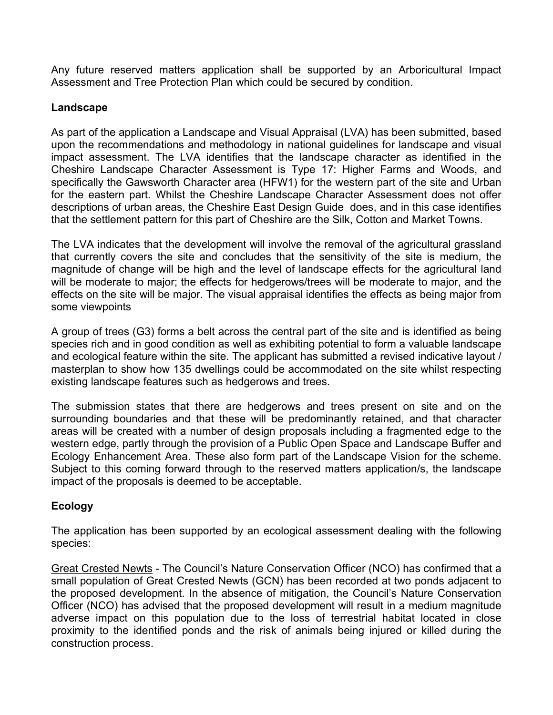Any future reserved matters application shall be supported by an Arboricultural Impact Assessment and Tree Protection Plan which could be secured by condition.

### **Landscape**

As part of the application a Landscape and Visual Appraisal (LVA) has been submitted, based upon the recommendations and methodology in national guidelines for landscape and visual impact assessment. The LVA identifies that the landscape character as identified in the Cheshire Landscape Character Assessment is Type 17: Higher Farms and Woods, and specifically the Gawsworth Character area (HFW1) for the western part of the site and Urban for the eastern part. Whilst the Cheshire Landscape Character Assessment does not offer descriptions of urban areas, the Cheshire East Design Guide does, and in this case identifies that the settlement pattern for this part of Cheshire are the Silk, Cotton and Market Towns.

The LVA indicates that the development will involve the removal of the agricultural grassland that currently covers the site and concludes that the sensitivity of the site is medium, the magnitude of change will be high and the level of landscape effects for the agricultural land will be moderate to major; the effects for hedgerows/trees will be moderate to major, and the effects on the site will be major. The visual appraisal identifies the effects as being major from some viewpoints

A group of trees (G3) forms a belt across the central part of the site and is identified as being species rich and in good condition as well as exhibiting potential to form a valuable landscape and ecological feature within the site. The applicant has submitted a revised indicative layout / masterplan to show how 135 dwellings could be accommodated on the site whilst respecting existing landscape features such as hedgerows and trees.

The submission states that there are hedgerows and trees present on site and on the surrounding boundaries and that these will be predominantly retained, and that character areas will be created with a number of design proposals including a fragmented edge to the western edge, partly through the provision of a Public Open Space and Landscape Buffer and Ecology Enhancement Area. These also form part of the Landscape Vision for the scheme. Subject to this coming forward through to the reserved matters application/s, the landscape impact of the proposals is deemed to be acceptable.

# **Ecology**

The application has been supported by an ecological assessment dealing with the following species:

Great Crested Newts - The Council's Nature Conservation Officer (NCO) has confirmed that a small population of Great Crested Newts (GCN) has been recorded at two ponds adjacent to the proposed development. In the absence of mitigation, the Council's Nature Conservation Officer (NCO) has advised that the proposed development will result in a medium magnitude adverse impact on this population due to the loss of terrestrial habitat located in close proximity to the identified ponds and the risk of animals being injured or killed during the construction process.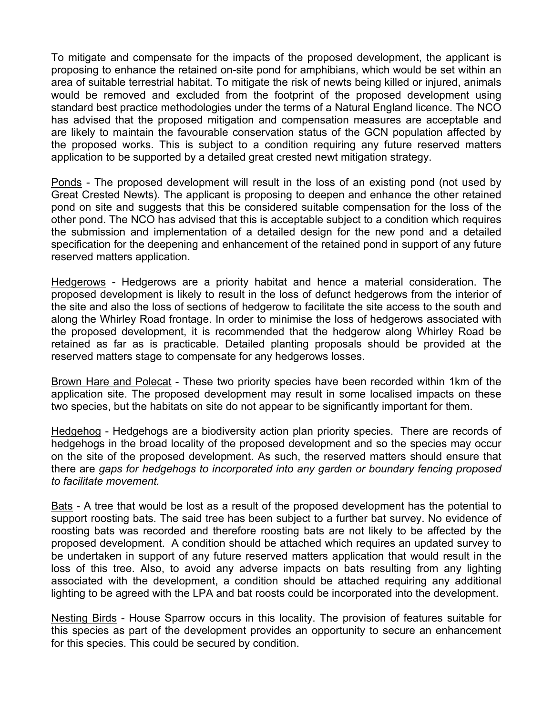To mitigate and compensate for the impacts of the proposed development, the applicant is proposing to enhance the retained on-site pond for amphibians, which would be set within an area of suitable terrestrial habitat. To mitigate the risk of newts being killed or injured, animals would be removed and excluded from the footprint of the proposed development using standard best practice methodologies under the terms of a Natural England licence. The NCO has advised that the proposed mitigation and compensation measures are acceptable and are likely to maintain the favourable conservation status of the GCN population affected by the proposed works. This is subject to a condition requiring any future reserved matters application to be supported by a detailed great crested newt mitigation strategy.

Ponds - The proposed development will result in the loss of an existing pond (not used by Great Crested Newts). The applicant is proposing to deepen and enhance the other retained pond on site and suggests that this be considered suitable compensation for the loss of the other pond. The NCO has advised that this is acceptable subject to a condition which requires the submission and implementation of a detailed design for the new pond and a detailed specification for the deepening and enhancement of the retained pond in support of any future reserved matters application.

Hedgerows - Hedgerows are a priority habitat and hence a material consideration. The proposed development is likely to result in the loss of defunct hedgerows from the interior of the site and also the loss of sections of hedgerow to facilitate the site access to the south and along the Whirley Road frontage. In order to minimise the loss of hedgerows associated with the proposed development, it is recommended that the hedgerow along Whirley Road be retained as far as is practicable. Detailed planting proposals should be provided at the reserved matters stage to compensate for any hedgerows losses.

Brown Hare and Polecat - These two priority species have been recorded within 1km of the application site. The proposed development may result in some localised impacts on these two species, but the habitats on site do not appear to be significantly important for them.

Hedgehog - Hedgehogs are a biodiversity action plan priority species. There are records of hedgehogs in the broad locality of the proposed development and so the species may occur on the site of the proposed development. As such, the reserved matters should ensure that there are *gaps for hedgehogs to incorporated into any garden or boundary fencing proposed to facilitate movement.*

Bats - A tree that would be lost as a result of the proposed development has the potential to support roosting bats. The said tree has been subject to a further bat survey. No evidence of roosting bats was recorded and therefore roosting bats are not likely to be affected by the proposed development. A condition should be attached which requires an updated survey to be undertaken in support of any future reserved matters application that would result in the loss of this tree. Also, to avoid any adverse impacts on bats resulting from any lighting associated with the development, a condition should be attached requiring any additional lighting to be agreed with the LPA and bat roosts could be incorporated into the development.

Nesting Birds - House Sparrow occurs in this locality. The provision of features suitable for this species as part of the development provides an opportunity to secure an enhancement for this species. This could be secured by condition.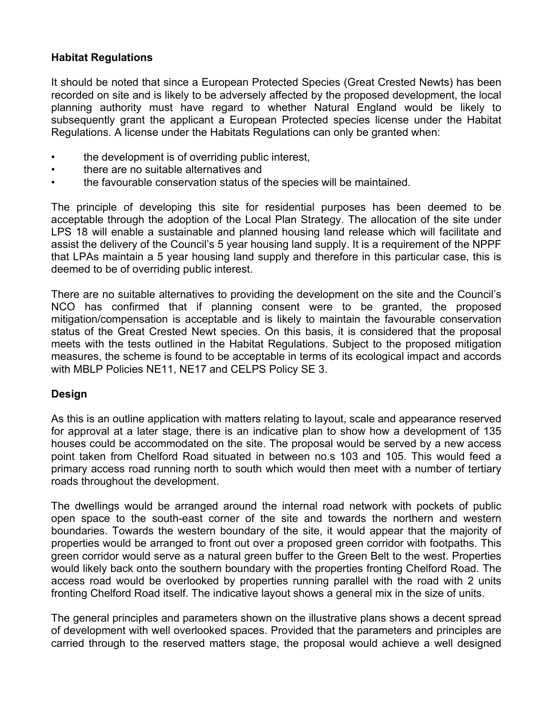### **Habitat Regulations**

It should be noted that since a European Protected Species (Great Crested Newts) has been recorded on site and is likely to be adversely affected by the proposed development, the local planning authority must have regard to whether Natural England would be likely to subsequently grant the applicant a European Protected species license under the Habitat Regulations. A license under the Habitats Regulations can only be granted when:

- the development is of overriding public interest,
- there are no suitable alternatives and
- the favourable conservation status of the species will be maintained.

The principle of developing this site for residential purposes has been deemed to be acceptable through the adoption of the Local Plan Strategy. The allocation of the site under LPS 18 will enable a sustainable and planned housing land release which will facilitate and assist the delivery of the Council's 5 year housing land supply. It is a requirement of the NPPF that LPAs maintain a 5 year housing land supply and therefore in this particular case, this is deemed to be of overriding public interest.

There are no suitable alternatives to providing the development on the site and the Council's NCO has confirmed that if planning consent were to be granted, the proposed mitigation/compensation is acceptable and is likely to maintain the favourable conservation status of the Great Crested Newt species. On this basis, it is considered that the proposal meets with the tests outlined in the Habitat Regulations. Subject to the proposed mitigation measures, the scheme is found to be acceptable in terms of its ecological impact and accords with MBLP Policies NE11, NE17 and CELPS Policy SE 3.

### **Design**

As this is an outline application with matters relating to layout, scale and appearance reserved for approval at a later stage, there is an indicative plan to show how a development of 135 houses could be accommodated on the site. The proposal would be served by a new access point taken from Chelford Road situated in between no.s 103 and 105. This would feed a primary access road running north to south which would then meet with a number of tertiary roads throughout the development.

The dwellings would be arranged around the internal road network with pockets of public open space to the south-east corner of the site and towards the northern and western boundaries. Towards the western boundary of the site, it would appear that the majority of properties would be arranged to front out over a proposed green corridor with footpaths. This green corridor would serve as a natural green buffer to the Green Belt to the west. Properties would likely back onto the southern boundary with the properties fronting Chelford Road. The access road would be overlooked by properties running parallel with the road with 2 units fronting Chelford Road itself. The indicative layout shows a general mix in the size of units.

The general principles and parameters shown on the illustrative plans shows a decent spread of development with well overlooked spaces. Provided that the parameters and principles are carried through to the reserved matters stage, the proposal would achieve a well designed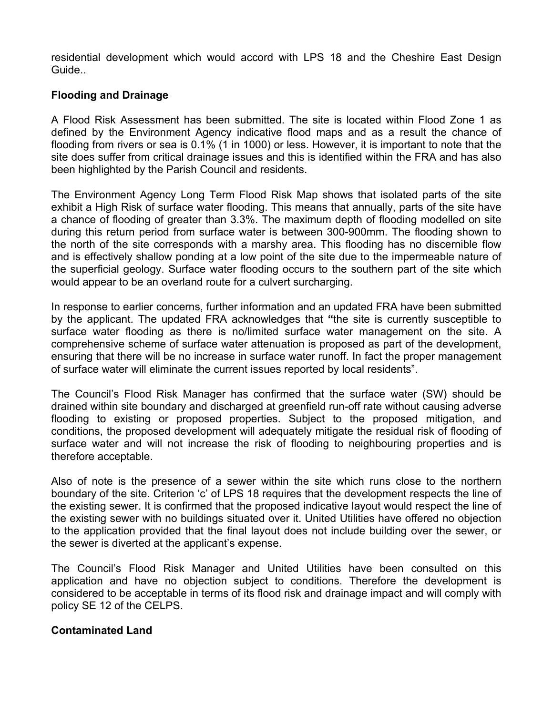residential development which would accord with LPS 18 and the Cheshire East Design Guide..

### **Flooding and Drainage**

A Flood Risk Assessment has been submitted. The site is located within Flood Zone 1 as defined by the Environment Agency indicative flood maps and as a result the chance of flooding from rivers or sea is 0.1% (1 in 1000) or less. However, it is important to note that the site does suffer from critical drainage issues and this is identified within the FRA and has also been highlighted by the Parish Council and residents.

The Environment Agency Long Term Flood Risk Map shows that isolated parts of the site exhibit a High Risk of surface water flooding. This means that annually, parts of the site have a chance of flooding of greater than 3.3%. The maximum depth of flooding modelled on site during this return period from surface water is between 300-900mm. The flooding shown to the north of the site corresponds with a marshy area. This flooding has no discernible flow and is effectively shallow ponding at a low point of the site due to the impermeable nature of the superficial geology. Surface water flooding occurs to the southern part of the site which would appear to be an overland route for a culvert surcharging.

In response to earlier concerns, further information and an updated FRA have been submitted by the applicant. The updated FRA acknowledges that **"**the site is currently susceptible to surface water flooding as there is no/limited surface water management on the site. A comprehensive scheme of surface water attenuation is proposed as part of the development, ensuring that there will be no increase in surface water runoff. In fact the proper management of surface water will eliminate the current issues reported by local residents".

The Council's Flood Risk Manager has confirmed that the surface water (SW) should be drained within site boundary and discharged at greenfield run-off rate without causing adverse flooding to existing or proposed properties. Subject to the proposed mitigation, and conditions, the proposed development will adequately mitigate the residual risk of flooding of surface water and will not increase the risk of flooding to neighbouring properties and is therefore acceptable.

Also of note is the presence of a sewer within the site which runs close to the northern boundary of the site. Criterion 'c' of LPS 18 requires that the development respects the line of the existing sewer. It is confirmed that the proposed indicative layout would respect the line of the existing sewer with no buildings situated over it. United Utilities have offered no objection to the application provided that the final layout does not include building over the sewer, or the sewer is diverted at the applicant's expense.

The Council's Flood Risk Manager and United Utilities have been consulted on this application and have no objection subject to conditions. Therefore the development is considered to be acceptable in terms of its flood risk and drainage impact and will comply with policy SE 12 of the CELPS.

### **Contaminated Land**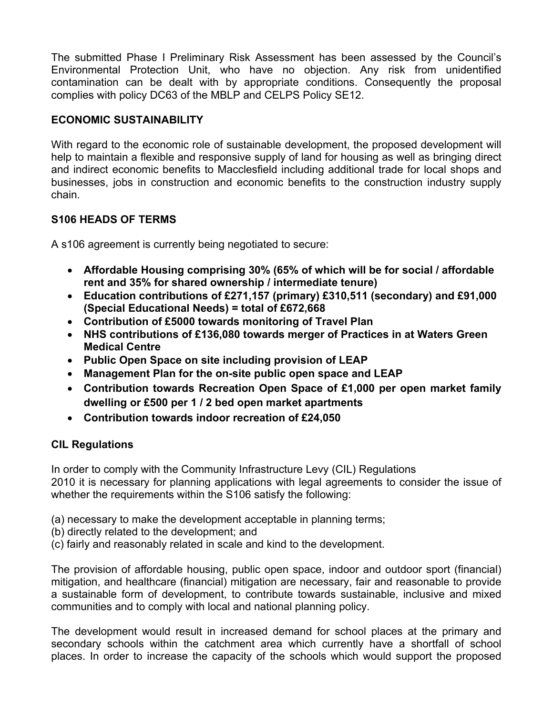The submitted Phase I Preliminary Risk Assessment has been assessed by the Council's Environmental Protection Unit, who have no objection. Any risk from unidentified contamination can be dealt with by appropriate conditions. Consequently the proposal complies with policy DC63 of the MBLP and CELPS Policy SE12.

# **ECONOMIC SUSTAINABILITY**

With regard to the economic role of sustainable development, the proposed development will help to maintain a flexible and responsive supply of land for housing as well as bringing direct and indirect economic benefits to Macclesfield including additional trade for local shops and businesses, jobs in construction and economic benefits to the construction industry supply chain.

# **S106 HEADS OF TERMS**

A s106 agreement is currently being negotiated to secure:

- **Affordable Housing comprising 30% (65% of which will be for social / affordable rent and 35% for shared ownership / intermediate tenure)**
- **Education contributions of £271,157 (primary) £310,511 (secondary) and £91,000 (Special Educational Needs) = total of £672,668**
- **Contribution of £5000 towards monitoring of Travel Plan**
- **NHS contributions of £136,080 towards merger of Practices in at Waters Green Medical Centre**
- **Public Open Space on site including provision of LEAP**
- **Management Plan for the on-site public open space and LEAP**
- **Contribution towards Recreation Open Space of £1,000 per open market family dwelling or £500 per 1 / 2 bed open market apartments**
- **Contribution towards indoor recreation of £24,050**

# **CIL Regulations**

In order to comply with the Community Infrastructure Levy (CIL) Regulations 2010 it is necessary for planning applications with legal agreements to consider the issue of whether the requirements within the S106 satisfy the following:

- (a) necessary to make the development acceptable in planning terms;
- (b) directly related to the development; and
- (c) fairly and reasonably related in scale and kind to the development.

The provision of affordable housing, public open space, indoor and outdoor sport (financial) mitigation, and healthcare (financial) mitigation are necessary, fair and reasonable to provide a sustainable form of development, to contribute towards sustainable, inclusive and mixed communities and to comply with local and national planning policy.

The development would result in increased demand for school places at the primary and secondary schools within the catchment area which currently have a shortfall of school places. In order to increase the capacity of the schools which would support the proposed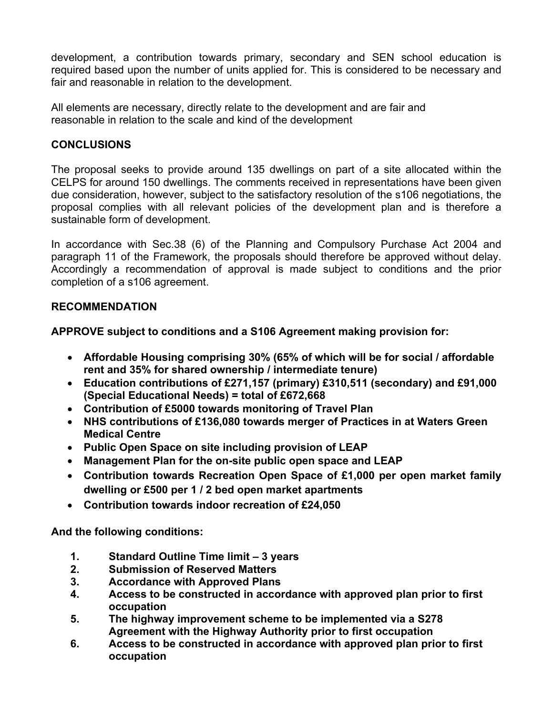development, a contribution towards primary, secondary and SEN school education is required based upon the number of units applied for. This is considered to be necessary and fair and reasonable in relation to the development.

All elements are necessary, directly relate to the development and are fair and reasonable in relation to the scale and kind of the development

### **CONCLUSIONS**

The proposal seeks to provide around 135 dwellings on part of a site allocated within the CELPS for around 150 dwellings. The comments received in representations have been given due consideration, however, subject to the satisfactory resolution of the s106 negotiations, the proposal complies with all relevant policies of the development plan and is therefore a sustainable form of development.

In accordance with Sec.38 (6) of the Planning and Compulsory Purchase Act 2004 and paragraph 11 of the Framework, the proposals should therefore be approved without delay. Accordingly a recommendation of approval is made subject to conditions and the prior completion of a s106 agreement.

### **RECOMMENDATION**

**APPROVE subject to conditions and a S106 Agreement making provision for:**

- **Affordable Housing comprising 30% (65% of which will be for social / affordable rent and 35% for shared ownership / intermediate tenure)**
- **Education contributions of £271,157 (primary) £310,511 (secondary) and £91,000 (Special Educational Needs) = total of £672,668**
- **Contribution of £5000 towards monitoring of Travel Plan**
- **NHS contributions of £136,080 towards merger of Practices in at Waters Green Medical Centre**
- **Public Open Space on site including provision of LEAP**
- **Management Plan for the on-site public open space and LEAP**
- **Contribution towards Recreation Open Space of £1,000 per open market family dwelling or £500 per 1 / 2 bed open market apartments**
- **Contribution towards indoor recreation of £24,050**

**And the following conditions:**

- **1. Standard Outline Time limit – 3 years**
- **2. Submission of Reserved Matters**
- **3. Accordance with Approved Plans**
- **4. Access to be constructed in accordance with approved plan prior to first occupation**
- **5. The highway improvement scheme to be implemented via a S278 Agreement with the Highway Authority prior to first occupation**
- **6. Access to be constructed in accordance with approved plan prior to first occupation**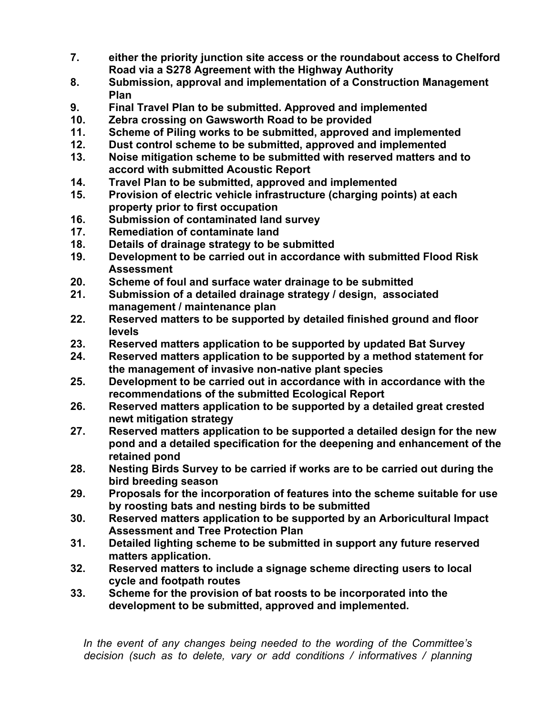- **7. either the priority junction site access or the roundabout access to Chelford Road via a S278 Agreement with the Highway Authority**
- **8. Submission, approval and implementation of a Construction Management Plan**
- **9. Final Travel Plan to be submitted. Approved and implemented**
- **10. Zebra crossing on Gawsworth Road to be provided**
- **11. Scheme of Piling works to be submitted, approved and implemented**
- **12. Dust control scheme to be submitted, approved and implemented**
- **13. Noise mitigation scheme to be submitted with reserved matters and to accord with submitted Acoustic Report**
- **14. Travel Plan to be submitted, approved and implemented**
- **15. Provision of electric vehicle infrastructure (charging points) at each property prior to first occupation**
- **16. Submission of contaminated land survey**
- **17. Remediation of contaminate land**
- **18. Details of drainage strategy to be submitted**
- **19. Development to be carried out in accordance with submitted Flood Risk Assessment**
- **20. Scheme of foul and surface water drainage to be submitted**
- **21. Submission of a detailed drainage strategy / design, associated management / maintenance plan**
- **22. Reserved matters to be supported by detailed finished ground and floor levels**
- **23. Reserved matters application to be supported by updated Bat Survey**
- **24. Reserved matters application to be supported by a method statement for the management of invasive non-native plant species**
- **25. Development to be carried out in accordance with in accordance with the recommendations of the submitted Ecological Report**
- **26. Reserved matters application to be supported by a detailed great crested newt mitigation strategy**
- **27. Reserved matters application to be supported a detailed design for the new pond and a detailed specification for the deepening and enhancement of the retained pond**
- **28. Nesting Birds Survey to be carried if works are to be carried out during the bird breeding season**
- **29. Proposals for the incorporation of features into the scheme suitable for use by roosting bats and nesting birds to be submitted**
- **30. Reserved matters application to be supported by an Arboricultural Impact Assessment and Tree Protection Plan**
- **31. Detailed lighting scheme to be submitted in support any future reserved matters application.**
- **32. Reserved matters to include a signage scheme directing users to local cycle and footpath routes**
- **33. Scheme for the provision of bat roosts to be incorporated into the development to be submitted, approved and implemented.**

*In the event of any changes being needed to the wording of the Committee's decision (such as to delete, vary or add conditions / informatives / planning*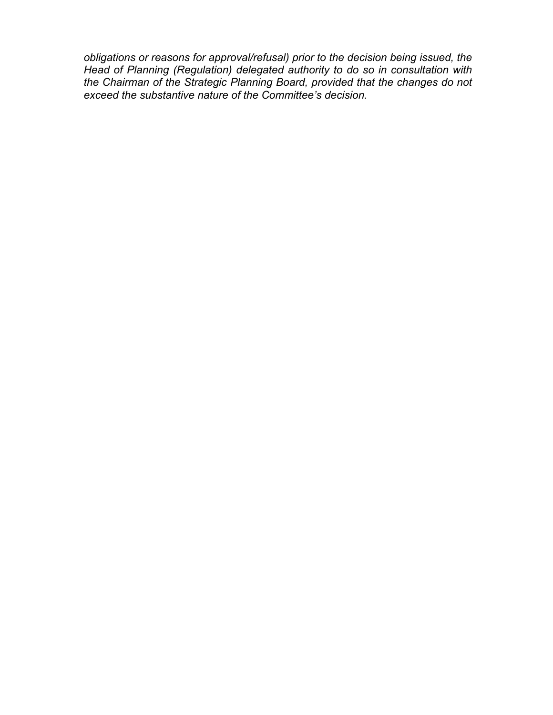*obligations or reasons for approval/refusal) prior to the decision being issued, the Head of Planning (Regulation) delegated authority to do so in consultation with the Chairman of the Strategic Planning Board, provided that the changes do not exceed the substantive nature of the Committee's decision.*